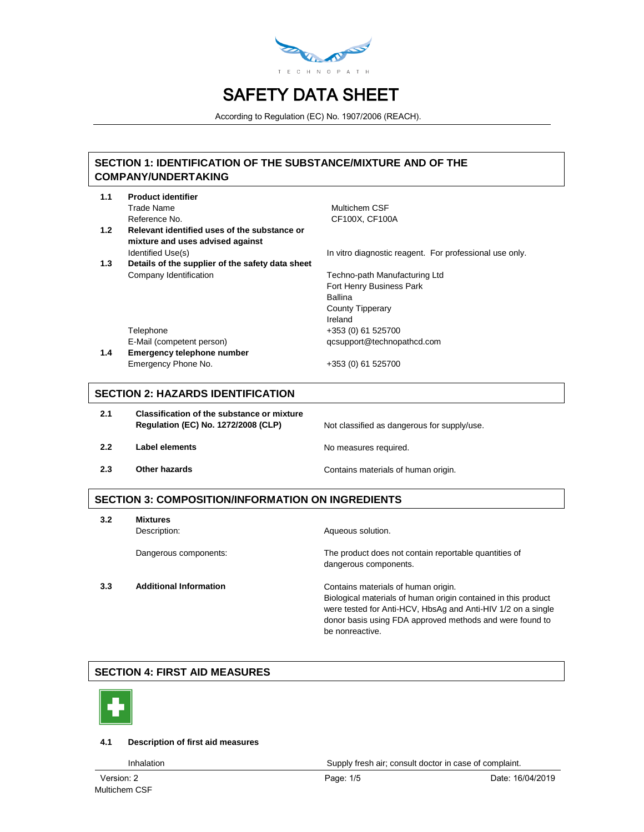

According to Regulation (EC) No. 1907/2006 (REACH).

### **SECTION 1: IDENTIFICATION OF THE SUBSTANCE/MIXTURE AND OF THE COMPANY/UNDERTAKING**

| 1.1 | <b>Product identifier</b>                        |                                                         |
|-----|--------------------------------------------------|---------------------------------------------------------|
|     | Trade Name                                       | Multichem CSF                                           |
|     | Reference No.                                    | CF100X, CF100A                                          |
| 1.2 | Relevant identified uses of the substance or     |                                                         |
|     | mixture and uses advised against                 |                                                         |
|     | Identified Use(s)                                | In vitro diagnostic reagent. For professional use only. |
| 1.3 | Details of the supplier of the safety data sheet |                                                         |
|     | Company Identification                           | Techno-path Manufacturing Ltd                           |
|     |                                                  | Fort Henry Business Park                                |
|     |                                                  | <b>Ballina</b>                                          |
|     |                                                  | <b>County Tipperary</b>                                 |
|     |                                                  | Ireland                                                 |
|     | Telephone                                        | +353 (0) 61 525700                                      |
|     | E-Mail (competent person)                        | qcsupport@technopathcd.com                              |
| 1.4 | <b>Emergency telephone number</b>                |                                                         |
|     | Emergency Phone No.                              | +353 (0) 61 525700                                      |
|     |                                                  |                                                         |
|     |                                                  |                                                         |

### **SECTION 2: HAZARDS IDENTIFICATION**

| 2.1 | <b>Classification of the substance or mixture</b><br><b>Regulation (EC) No. 1272/2008 (CLP)</b> | Not classified as dangerous for supply/use. |
|-----|-------------------------------------------------------------------------------------------------|---------------------------------------------|
| 2.2 | Label elements                                                                                  | No measures required.                       |
| 2.3 | Other hazards                                                                                   | Contains materials of human origin.         |

### **SECTION 3: COMPOSITION/INFORMATION ON INGREDIENTS**

| 3.2 | <b>Mixtures</b>               |                                                                                                                          |  |  |
|-----|-------------------------------|--------------------------------------------------------------------------------------------------------------------------|--|--|
|     | Description:                  | Aqueous solution.                                                                                                        |  |  |
|     | Dangerous components:         | The product does not contain reportable quantities of                                                                    |  |  |
|     |                               | dangerous components.                                                                                                    |  |  |
| 3.3 | <b>Additional Information</b> | Contains materials of human origin.                                                                                      |  |  |
|     |                               | Biological materials of human origin contained in this product                                                           |  |  |
|     |                               | were tested for Anti-HCV, HbsAg and Anti-HIV 1/2 on a single<br>donor basis using FDA approved methods and were found to |  |  |
|     |                               | be nonreactive.                                                                                                          |  |  |
|     |                               |                                                                                                                          |  |  |

### **SECTION 4: FIRST AID MEASURES**



**1.1 Product identifier**

#### **4.1 Description of first aid measures**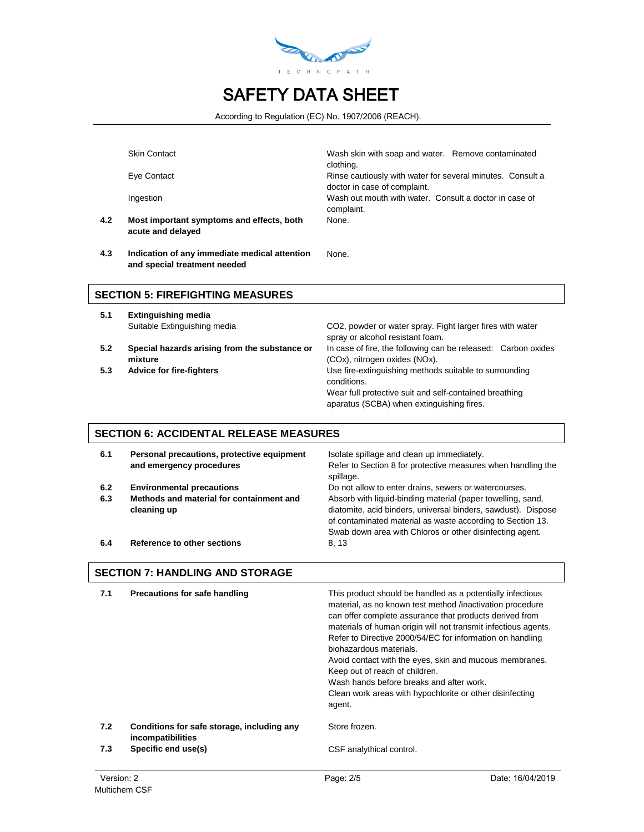

According to Regulation (EC) No. 1907/2006 (REACH).

None.

**4.2 Most important symptoms and effects, both acute and delayed**

Skin Contact Wash skin with soap and water. Remove contaminated clothing. Eye Contact Rinse cautiously with water for several minutes. Consult a doctor in case of complaint. Ingestion Wash out mouth with water. Consult a doctor in case of complaint. None.

**4.3 Indication of any immediate medical attention and special treatment needed**

**SECTION 5: FIREFIGHTING MEASURES**

- **5.1 Extinguishing media**
- **5.2 Special hazards arising from the substance or mixture**
- 

Suitable Extinguishing media CO2, powder or water spray. Fight larger fires with water spray or alcohol resistant foam. In case of fire, the following can be released: Carbon oxides (COx), nitrogen oxides (NOx). **5.3 Advice for fire-fighters** Use fire-extinguishing methods suitable to surrounding conditions. Wear full protective suit and self-contained breathing aparatus (SCBA) when extinguishing fires.

#### **SECTION 6: ACCIDENTAL RELEASE MEASURES**

| 6.1        | Personal precautions, protective equipment<br>and emergency procedures                      | Isolate spillage and clean up immediately.<br>Refer to Section 8 for protective measures when handling the<br>spillage.                                                                                                                                                                                         |
|------------|---------------------------------------------------------------------------------------------|-----------------------------------------------------------------------------------------------------------------------------------------------------------------------------------------------------------------------------------------------------------------------------------------------------------------|
| 6.2<br>6.3 | <b>Environmental precautions</b><br>Methods and material for containment and<br>cleaning up | Do not allow to enter drains, sewers or watercourses.<br>Absorb with liquid-binding material (paper towelling, sand,<br>diatomite, acid binders, universal binders, sawdust). Dispose<br>of contaminated material as waste according to Section 13.<br>Swab down area with Chloros or other disinfecting agent. |
| 6.4        | Reference to other sections                                                                 | 8.13                                                                                                                                                                                                                                                                                                            |

#### **SECTION 7: HANDLING AND STORAGE**

| 7.1        | Precautions for safe handling                                   | This product should be handled as a potentially infectious<br>material, as no known test method /inactivation procedure<br>can offer complete assurance that products derived from<br>materials of human origin will not transmit infectious agents.<br>Refer to Directive 2000/54/EC for information on handling<br>biohazardous materials.<br>Avoid contact with the eyes, skin and mucous membranes.<br>Keep out of reach of children.<br>Wash hands before breaks and after work.<br>Clean work areas with hypochlorite or other disinfecting<br>agent. |                  |
|------------|-----------------------------------------------------------------|-------------------------------------------------------------------------------------------------------------------------------------------------------------------------------------------------------------------------------------------------------------------------------------------------------------------------------------------------------------------------------------------------------------------------------------------------------------------------------------------------------------------------------------------------------------|------------------|
| 7.2        | Conditions for safe storage, including any<br>incompatibilities | Store frozen.                                                                                                                                                                                                                                                                                                                                                                                                                                                                                                                                               |                  |
| 7.3        | Specific end use(s)                                             | CSF analythical control.                                                                                                                                                                                                                                                                                                                                                                                                                                                                                                                                    |                  |
| Version: 2 |                                                                 | Page: 2/5                                                                                                                                                                                                                                                                                                                                                                                                                                                                                                                                                   | Date: 16/04/2019 |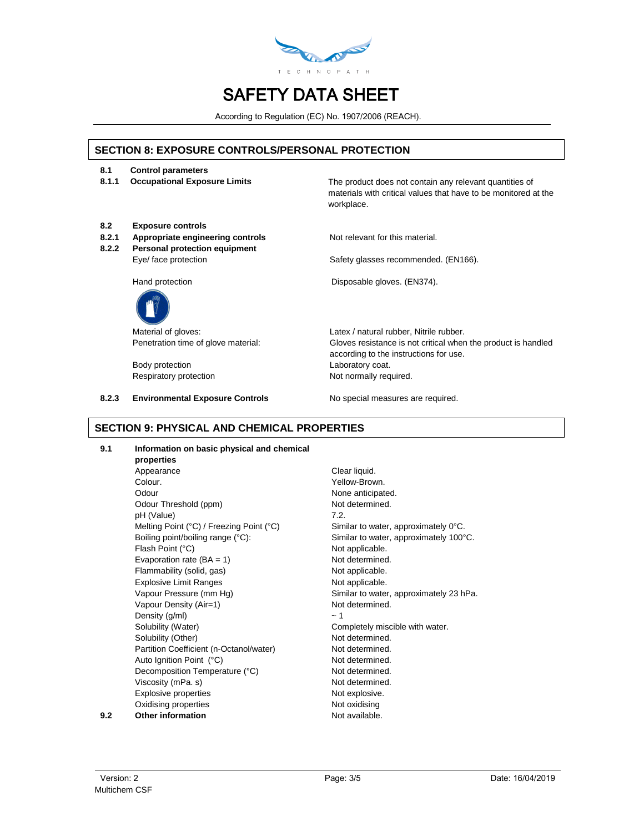

According to Regulation (EC) No. 1907/2006 (REACH).

#### **SECTION 8: EXPOSURE CONTROLS/PERSONAL PROTECTION**

- **8.1 Control parameters**
- 

**8.1.1 Occupational Exposure Limits** The product does not contain any relevant quantities of materials with critical values that have to be monitored at the workplace.

- **8.2 Exposure controls**
- 8.2.1 **Appropriate engineering controls** Not relevant for this material.
- **8.2.2 Personal protection equipment** Eye/ face protection extended of the Safety glasses recommended. (EN166).



Body protection **Laboratory coat.** 

**8.2.3 Environmental Exposure Controls** No special measures are required.

Hand protection **Disposable gloves.** (EN374).

Material of gloves:  $Latex / natural rubber$ , Nitrile rubber. Penetration time of glove material: Gloves resistance is not critical when the product is handled according to the instructions for use. Respiratory protection Not normally required.

#### **SECTION 9: PHYSICAL AND CHEMICAL PROPERTIES**

**9.1 Information on basic physical and chemical** 

**properties** Appearance Clear liquid. Colour. Yellow-Brown. Odour **None anticipated.** Odour Threshold (ppm) Not determined. pH (Value) 7.2. Melting Point (°C) / Freezing Point (°C) Similar to water, approximately 0°C. Boiling point/boiling range (°C): Similar to water, approximately 100°C. Flash Point (°C) and the contract of the Not applicable. Evaporation rate  $(BA = 1)$  Not determined. Flammability (solid, gas) Not applicable. Explosive Limit Ranges Not applicable. Vapour Pressure (mm Hg) Similar to water, approximately 23 hPa. Vapour Density (Air=1) Not determined. Density  $(g/ml)$   $\sim 1$ Solubility (Water) Completely miscible with water. Solubility (Other) Not determined. Partition Coefficient (n-Octanol/water) Not determined. Auto Ignition Point (°C) Not determined. Decomposition Temperature (°C) Not determined. Viscosity (mPa. s) Not determined. Explosive properties Not explosive. Oxidising properties Not oxidising **9.2 Other information Not available.**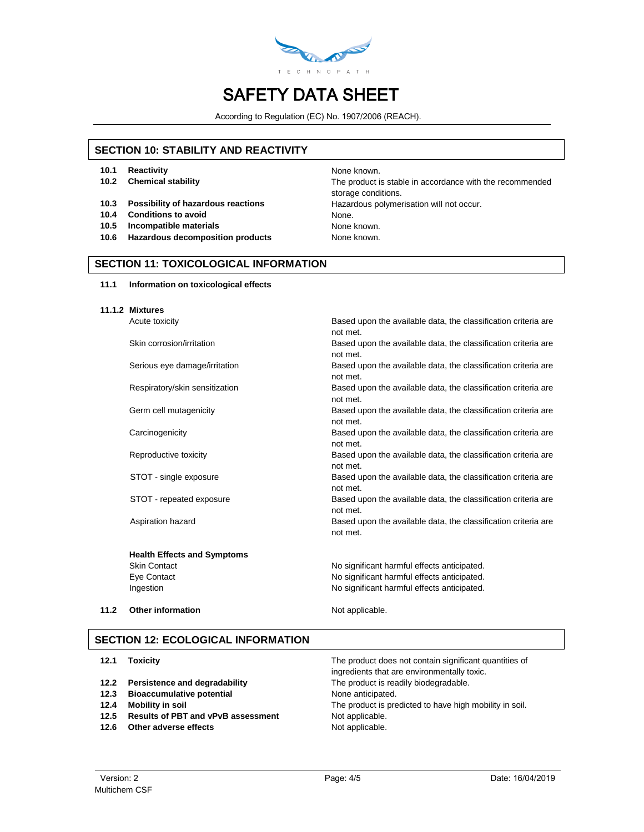

According to Regulation (EC) No. 1907/2006 (REACH).

#### **SECTION 10: STABILITY AND REACTIVITY**

- **10.1 Reactivity 10.1 Reactivity 10.1 Reactivity**
- 
- 
- **10.4 Conditions to avoid None.** None.
- **10.5 Incompatible materials None known.** None known.
- **10.6 Hazardous decomposition products** None known.

**10.2 Chemical stability** The product is stable in accordance with the recommended storage conditions. **10.3 Possibility of hazardous reactions Hazardous polymerisation will not occur.** 

### **SECTION 11: TOXICOLOGICAL INFORMATION**

#### **11.1 Information on toxicological effects**

#### **11.1.2 Mixtures**

Acute toxicity **Based upon the available data, the classification criteria are Based upon the available data, the classification criteria are** 

**Health Effects and Symptoms**

not met. Skin corrosion/irritation **Based upon the available data, the classification criteria are** Based upon the available data, the classification criteria are not met. Serious eye damage/irritation Based upon the available data, the classification criteria are not met. Respiratory/skin sensitization **Based upon the available data, the classification criteria are** not met. Germ cell mutagenicity **Based upon the available data, the classification criteria are** not met. Carcinogenicity Based upon the available data, the classification criteria are not met. Reproductive toxicity **Based upon the available data, the classification criteria are** not met. STOT - single exposure **Based upon the available data, the classification criteria are** not met. STOT - repeated exposure exposure Based upon the available data, the classification criteria are not met. Aspiration hazard **Based upon the available data, the classification criteria are** not met.

Skin Contact **No significant harmful effects anticipated.** No significant harmful effects anticipated. Eye Contact No significant harmful effects anticipated. Ingestion **Internal and Telection** No significant harmful effects anticipated.

**11.2 Other information** Not applicable.

#### **SECTION 12: ECOLOGICAL INFORMATION**

| 12.1 | <b>Toxicity</b>                           | The product does not contain significant quantities of  |
|------|-------------------------------------------|---------------------------------------------------------|
|      |                                           | ingredients that are environmentally toxic.             |
| 12.2 | Persistence and degradability             | The product is readily biodegradable.                   |
| 12.3 | <b>Bioaccumulative potential</b>          | None anticipated.                                       |
| 12.4 | Mobility in soil                          | The product is predicted to have high mobility in soil. |
| 12.5 | <b>Results of PBT and vPvB assessment</b> | Not applicable.                                         |
| 12.6 | Other adverse effects                     | Not applicable.                                         |
|      |                                           |                                                         |